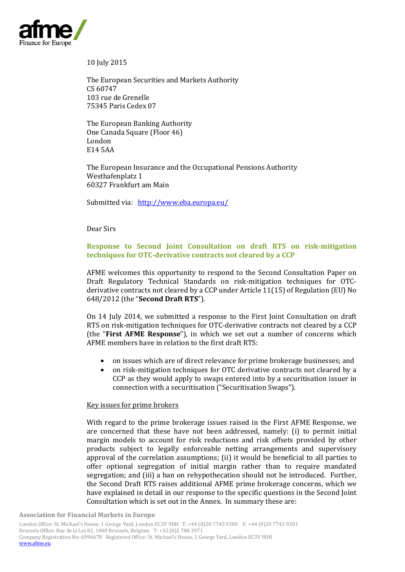

10 July 2015

The European Securities and Markets Authority CS 60747 103 rue de Grenelle 75345 Paris Cedex 07

The European Banking Authority One Canada Square (Floor 46) London E14 5AA

The European Insurance and the Occupational Pensions Authority Westhafenplatz 1 60327 Frankfurt am Main

Submitted via: <http://www.eba.europa.eu/>

Dear Sirs

# **Response to Second Joint Consultation on draft RTS on risk-mitigation techniques for OTC-derivative contracts not cleared by a CCP**

AFME welcomes this opportunity to respond to the Second Consultation Paper on Draft Regulatory Technical Standards on risk-mitigation techniques for OTCderivative contracts not cleared by a CCP under Article 11(15) of Regulation (EU) No 648/2012 (the "**Second Draft RTS**").

On 14 July 2014, we submitted a response to the First Joint Consultation on draft RTS on risk-mitigation techniques for OTC-derivative contracts not cleared by a CCP (the "**First AFME Response**"), in which we set out a number of concerns which AFME members have in relation to the first draft RTS:

- on issues which are of direct relevance for prime brokerage businesses; and
- on risk-mitigation techniques for OTC derivative contracts not cleared by a CCP as they would apply to swaps entered into by a securitisation issuer in connection with a securitisation ("Securitisation Swaps").

### Key issues for prime brokers

With regard to the prime brokerage issues raised in the First AFME Response, we are concerned that these have not been addressed, namely: (i) to permit initial margin models to account for risk reductions and risk offsets provided by other products subject to legally enforceable netting arrangements and supervisory approval of the correlation assumptions; (ii) it would be beneficial to all parties to offer optional segregation of initial margin rather than to require mandated segregation; and (iii) a ban on rehypothecation should not be introduced. Further, the Second Draft RTS raises additional AFME prime brokerage concerns, which we have explained in detail in our response to the specific questions in the Second Joint Consultation which is set out in the Annex. In summary these are: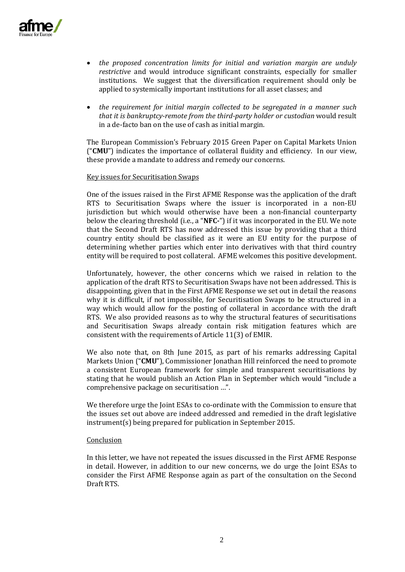

- *the proposed concentration limits for initial and variation margin are unduly restrictive* and would introduce significant constraints, especially for smaller institutions. We suggest that the diversification requirement should only be applied to systemically important institutions for all asset classes; and
- *the requirement for initial margin collected to be segregated in a manner such that it is bankruptcy-remote from the third-party holder or custodian* would result in a de-facto ban on the use of cash as initial margin.

The European Commission's February 2015 Green Paper on Capital Markets Union ("**CMU**") indicates the importance of collateral fluidity and efficiency. In our view, these provide a mandate to address and remedy our concerns.

#### Key issues for Securitisation Swaps

One of the issues raised in the First AFME Response was the application of the draft RTS to Securitisation Swaps where the issuer is incorporated in a non-EU jurisdiction but which would otherwise have been a non-financial counterparty below the clearing threshold (i.e., a "**NFC-**") if it was incorporated in the EU. We note that the Second Draft RTS has now addressed this issue by providing that a third country entity should be classified as it were an EU entity for the purpose of determining whether parties which enter into derivatives with that third country entity will be required to post collateral. AFME welcomes this positive development.

Unfortunately, however, the other concerns which we raised in relation to the application of the draft RTS to Securitisation Swaps have not been addressed. This is disappointing, given that in the First AFME Response we set out in detail the reasons why it is difficult, if not impossible, for Securitisation Swaps to be structured in a way which would allow for the posting of collateral in accordance with the draft RTS. We also provided reasons as to why the structural features of securitisations and Securitisation Swaps already contain risk mitigation features which are consistent with the requirements of Article 11(3) of EMIR.

We also note that, on 8th June 2015, as part of his remarks addressing Capital Markets Union ("**CMU**"), Commissioner Jonathan Hill reinforced the need to promote a consistent European framework for simple and transparent securitisations by stating that he would publish an Action Plan in September which would "include a comprehensive package on securitisation …".

We therefore urge the Joint ESAs to co-ordinate with the Commission to ensure that the issues set out above are indeed addressed and remedied in the draft legislative instrument(s) being prepared for publication in September 2015.

### Conclusion

In this letter, we have not repeated the issues discussed in the First AFME Response in detail. However, in addition to our new concerns, we do urge the Joint ESAs to consider the First AFME Response again as part of the consultation on the Second Draft RTS.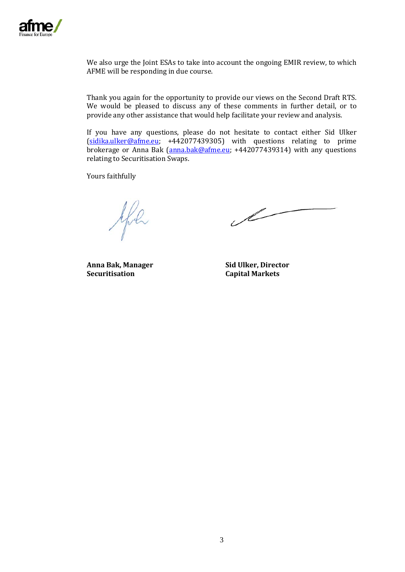

We also urge the Joint ESAs to take into account the ongoing EMIR review, to which AFME will be responding in due course.

Thank you again for the opportunity to provide our views on the Second Draft RTS. We would be pleased to discuss any of these comments in further detail, or to provide any other assistance that would help facilitate your review and analysis.

If you have any questions, please do not hesitate to contact either Sid Ulker [\(sidika.ulker@afme.eu;](mailto:sidika.ulker@afme.eu) +442077439305) with questions relating to prime brokerage or Anna Bak [\(anna.bak@afme.eu;](mailto:anna.bak@afme.eu) +442077439314) with any questions relating to Securitisation Swaps.

Yours faithfully

yfil

 $\mathscr{L}% _{M_{1},M_{2}}^{\alpha,\beta}(\varepsilon)$ 

**Anna Bak, Manager Securitisation**

**Sid Ulker, Director Capital Markets**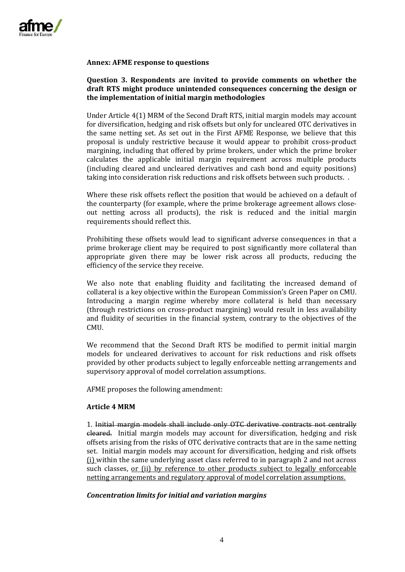

### **Annex: AFME response to questions**

### **Question 3. Respondents are invited to provide comments on whether the draft RTS might produce unintended consequences concerning the design or the implementation of initial margin methodologies**

Under Article 4(1) MRM of the Second Draft RTS, initial margin models may account for diversification, hedging and risk offsets but only for uncleared OTC derivatives in the same netting set. As set out in the First AFME Response, we believe that this proposal is unduly restrictive because it would appear to prohibit cross-product margining, including that offered by prime brokers, under which the prime broker calculates the applicable initial margin requirement across multiple products (including cleared and uncleared derivatives and cash bond and equity positions) taking into consideration risk reductions and risk offsets between such products. .

Where these risk offsets reflect the position that would be achieved on a default of the counterparty (for example, where the prime brokerage agreement allows closeout netting across all products), the risk is reduced and the initial margin requirements should reflect this.

Prohibiting these offsets would lead to significant adverse consequences in that a prime brokerage client may be required to post significantly more collateral than appropriate given there may be lower risk across all products, reducing the efficiency of the service they receive.

We also note that enabling fluidity and facilitating the increased demand of collateral is a key objective within the European Commission's Green Paper on CMU. Introducing a margin regime whereby more collateral is held than necessary (through restrictions on cross-product margining) would result in less availability and fluidity of securities in the financial system, contrary to the objectives of the CMU.

We recommend that the Second Draft RTS be modified to permit initial margin models for uncleared derivatives to account for risk reductions and risk offsets provided by other products subject to legally enforceable netting arrangements and supervisory approval of model correlation assumptions.

AFME proposes the following amendment:

### **Article 4 MRM**

1. Initial margin models shall include only OTC derivative contracts not centrally cleared. Initial margin models may account for diversification, hedging and risk offsets arising from the risks of OTC derivative contracts that are in the same netting set. Initial margin models may account for diversification, hedging and risk offsets (i) within the same underlying asset class referred to in paragraph 2 and not across such classes, or (ii) by reference to other products subject to legally enforceable netting arrangements and regulatory approval of model correlation assumptions.

### *Concentration limits for initial and variation margins*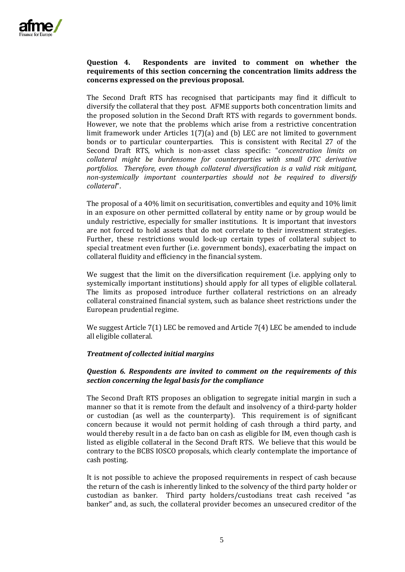

## **Question 4. Respondents are invited to comment on whether the requirements of this section concerning the concentration limits address the concerns expressed on the previous proposal.**

The Second Draft RTS has recognised that participants may find it difficult to diversify the collateral that they post. AFME supports both concentration limits and the proposed solution in the Second Draft RTS with regards to government bonds. However, we note that the problems which arise from a restrictive concentration limit framework under Articles 1(7)(a) and (b) LEC are not limited to government bonds or to particular counterparties. This is consistent with Recital 27 of the Second Draft RTS, which is non-asset class specific: "*concentration limits on collateral might be burdensome for counterparties with small OTC derivative portfolios. Therefore, even though collateral diversification is a valid risk mitigant, non-systemically important counterparties should not be required to diversify collateral*".

The proposal of a 40% limit on securitisation, convertibles and equity and 10% limit in an exposure on other permitted collateral by entity name or by group would be unduly restrictive, especially for smaller institutions. It is important that investors are not forced to hold assets that do not correlate to their investment strategies. Further, these restrictions would lock-up certain types of collateral subject to special treatment even further (i.e. government bonds), exacerbating the impact on collateral fluidity and efficiency in the financial system.

We suggest that the limit on the diversification requirement (i.e. applying only to systemically important institutions) should apply for all types of eligible collateral. The limits as proposed introduce further collateral restrictions on an already collateral constrained financial system, such as balance sheet restrictions under the European prudential regime.

We suggest Article 7(1) LEC be removed and Article 7(4) LEC be amended to include all eligible collateral.

## *Treatment of collected initial margins*

## *Question 6. Respondents are invited to comment on the requirements of this section concerning the legal basis for the compliance*

The Second Draft RTS proposes an obligation to segregate initial margin in such a manner so that it is remote from the default and insolvency of a third-party holder or custodian (as well as the counterparty). This requirement is of significant concern because it would not permit holding of cash through a third party, and would thereby result in a de facto ban on cash as eligible for IM, even though cash is listed as eligible collateral in the Second Draft RTS. We believe that this would be contrary to the BCBS IOSCO proposals, which clearly contemplate the importance of cash posting.

It is not possible to achieve the proposed requirements in respect of cash because the return of the cash is inherently linked to the solvency of the third party holder or custodian as banker. Third party holders/custodians treat cash received "as banker" and, as such, the collateral provider becomes an unsecured creditor of the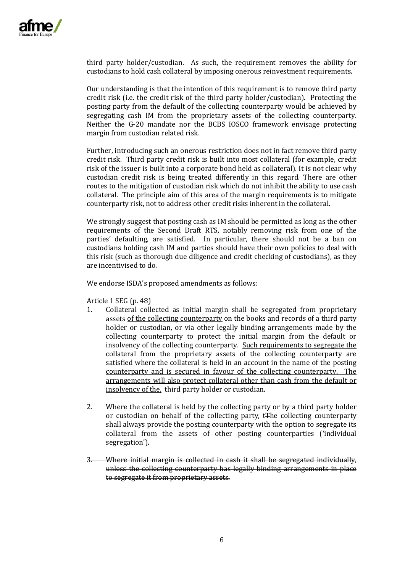

third party holder/custodian. As such, the requirement removes the ability for custodians to hold cash collateral by imposing onerous reinvestment requirements.

Our understanding is that the intention of this requirement is to remove third party credit risk (i.e. the credit risk of the third party holder/custodian). Protecting the posting party from the default of the collecting counterparty would be achieved by segregating cash IM from the proprietary assets of the collecting counterparty. Neither the G-20 mandate nor the BCBS IOSCO framework envisage protecting margin from custodian related risk.

Further, introducing such an onerous restriction does not in fact remove third party credit risk. Third party credit risk is built into most collateral (for example, credit risk of the issuer is built into a corporate bond held as collateral). It is not clear why custodian credit risk is being treated differently in this regard. There are other routes to the mitigation of custodian risk which do not inhibit the ability to use cash collateral. The principle aim of this area of the margin requirements is to mitigate counterparty risk, not to address other credit risks inherent in the collateral.

We strongly suggest that posting cash as IM should be permitted as long as the other requirements of the Second Draft RTS, notably removing risk from one of the parties' defaulting, are satisfied. In particular, there should not be a ban on custodians holding cash IM and parties should have their own policies to deal with this risk (such as thorough due diligence and credit checking of custodians), as they are incentivised to do.

We endorse ISDA's proposed amendments as follows:

Article 1 SEG (p. 48)<br>1. Collateral coll

- 1. Collateral collected as initial margin shall be segregated from proprietary assets of the collecting counterparty on the books and records of a third party holder or custodian, or via other legally binding arrangements made by the collecting counterparty to protect the initial margin from the default or insolvency of the collecting counterparty. Such requirements to segregate the collateral from the proprietary assets of the collecting counterparty are satisfied where the collateral is held in an account in the name of the posting counterparty and is secured in favour of the collecting counterparty. The arrangements will also protect collateral other than cash from the default or insolvency of the $_{\text{r}}$  third party holder or custodian.
- 2. Where the collateral is held by the collecting party or by a third party holder or custodian on behalf of the collecting party, tThe collecting counterparty shall always provide the posting counterparty with the option to segregate its collateral from the assets of other posting counterparties ('individual segregation').
- 3. Where initial margin is collected in cash it shall be segregated individually, unless the collecting counterparty has legally binding arrangements in place to segregate it from proprietary assets.